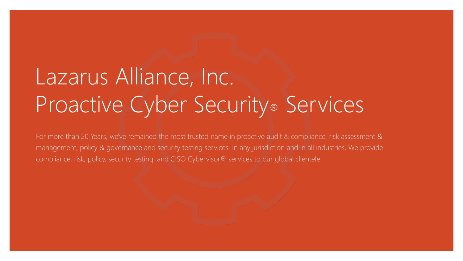# Lazarus Alliance, Inc. Proactive Cyber Security® Services

For more than 20 Years, we've remained the most trusted name in proactive audit & compliance, risk assessment & management, policy & governance and security testing services. In any jurisdiction and in all industries. We provide compliance, risk, policy, security testing, and CISO Cybervisor® services to our global clientele.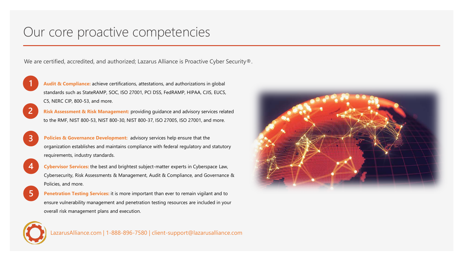### Our core proactive competencies

We are certified, accredited, and authorized; Lazarus Alliance is Proactive Cyber Security®.



**Audit & Compliance:** achieve certifications, attestations, and authorizations in global standards such as StateRAMP, SOC, ISO 27001, PCI DSS, FedRAMP, HIPAA, CJIS, EUCS, C5, NERC CIP, 800-53, and more.

- **2 Risk Assessment & Risk Management:** providing guidance and advisory services related to the RMF, NIST 800-53, NIST 800-30, NIST 800-37, ISO 27005, ISO 27001, and more.
- **3 Policies & Governance Development:** advisory services help ensure that the organization establishes and maintains compliance with federal regulatory and statutory requirements, industry standards.
	- **4 Cybervisor Services:** the best and brightest subject-matter experts in Cyberspace Law, Cybersecurity, Risk Assessments & Management, Audit & Compliance, and Governance & Policies, and more.
- **5 Penetration Testing Services:** it is more important than ever to remain vigilant and to ensure vulnerability management and penetration testing resources are included in your overall risk management plans and execution.



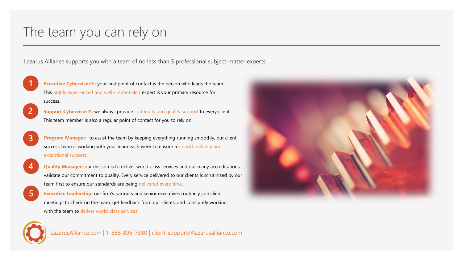### The team you can rely on

Lazarus Alliance supports you with a team of no less than 5 professional subject-matter experts.



**Executive Cybervisor<sup>®</sup>:** your first point of contact is the person who leads the team. This highly experienced and well-credentialed expert is your primary resource for success.

- **2 Support Cybervisor**<sup>®</sup>: we always provide continuity and quality support to every client. This team member is also a regular point of contact for you to rely on.
- **3 Program Manager:** to assist the team by keeping everything running smoothly, our client success team is working with your team each week to ensure a smooth delivery and exceptional support.



- **4 Quality Manager:** our mission is to deliver world-class services and our many accreditations validate our commitment to quality. Every service delivered to our clients is scrutinized by our team first to ensure our standards are being delivered every time.
- **5 Executive Leadership:** our firm's partners and senior executives routinely join client meetings to check on the team, get feedback from our clients, and constantly working with the team to deliver world-class services.



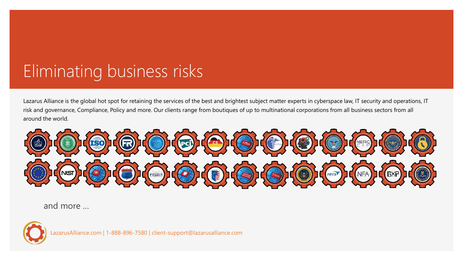# Eliminating business risks

Lazarus Alliance is the global hot spot for retaining the services of the best and brightest subject matter experts in cyberspace law, IT security and operations, IT risk and governance, Compliance, Policy and more. Our clients range from boutiques of up to multinational corporations from all business sectors from all around the world.



and more …



azarusAlliance.com | 1-888-896-7580 | client-support@lazarusalliance.com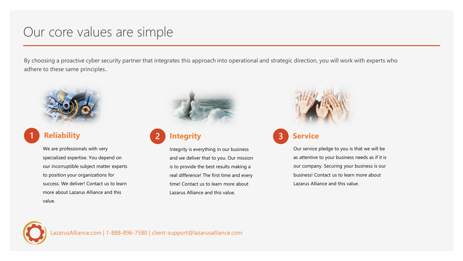### Our core values are simple

By choosing a proactive cyber security partner that integrates this approach into operational and strategic direction, you will work with experts who adhere to these same principles..



We are professionals with very specialized expertise. You depend on our incorruptible subject matter experts to position your organizations for success. We deliver! Contact us to learn more about Lazarus Alliance and this value.



### **1 Reliability 2 Integrity 3 Service**

Integrity is everything in our business and we deliver that to you. Our mission is to provide the best results making a real difference! The first time and every time! Contact us to learn more about Lazarus Alliance and this value.



### **3**

Our service pledge to you is that we will be as attentive to your business needs as if it is our company. Securing your business is our business! Contact us to learn more about Lazarus Alliance and this value.

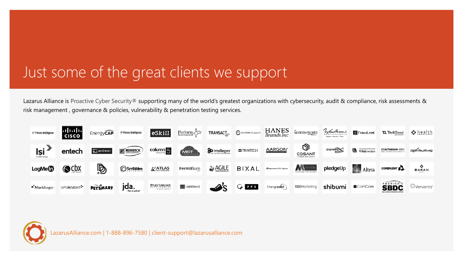# Just some of the great clients we support

Lazarus Alliance is Proactive Cyber Security® supporting many of the world's greatest organizations with cybersecurity, audit & compliance, risk assessments & risk management , governance & policies, vulnerability & penetration testing services.



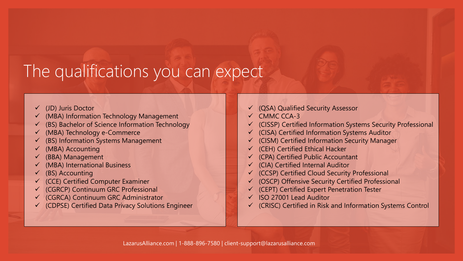# The qualifications you can expect

- $\checkmark$  (JD) Juris Doctor
- (MBA) Information Technology Management
- $\checkmark$  (BS) Bachelor of Science Information Technology
- (MBA) Technology e-Commerce
- (BS) Information Systems Management
- $\n<$  (MBA) Accounting
- (BBA) Management
- (MBA) International Business
- $\checkmark$  (BS) Accounting
- (CCE) Certified Computer Examiner
- (CGRCP) Continuum GRC Professional
- $\checkmark$  (CGRCA) Continuum GRC Administrator
- (CDPSE) Certified Data Privacy Solutions Engineer
- $\checkmark$  (QSA) Qualified Security Assessor
- $V$  CMMC CCA-3
- $\checkmark$  (CISSP) Certified Information Systems Security Professional
- (CISA) Certified Information Systems Auditor
- $\checkmark$  (CISM) Certified Information Security Manager
- $\checkmark$  (CEH) Certified Ethical Hacker
- $\checkmark$  (CPA) Certified Public Accountant
- $\checkmark$  (CIA) Certified Internal Auditor
- $\checkmark$  (CCSP) Certified Cloud Security Professional
- (OSCP) Offensive Security Certified Professional
- $\checkmark$  (CEPT) Certified Expert Penetration Tester
- $\checkmark$  ISO 27001 Lead Auditor
- $\checkmark$  (CRISC) Certified in Risk and Information Systems Control

LazarusAlliance.com | 1-888-896-7580 | client-support@lazarusalliance.com